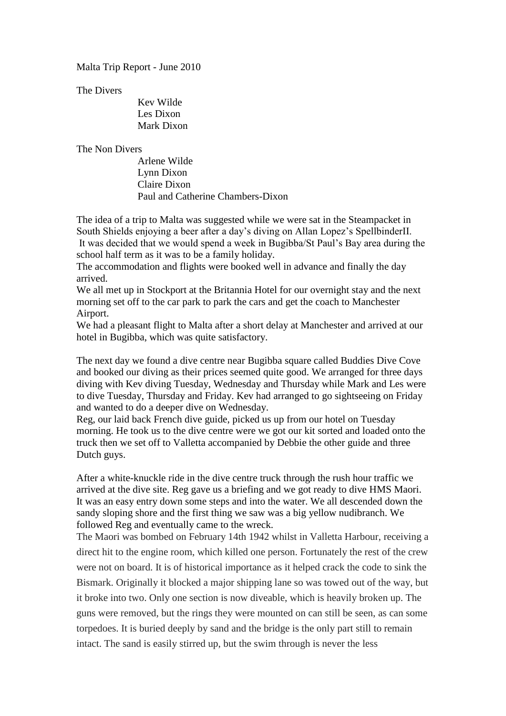Malta Trip Report - June 2010

The Divers

Kev Wilde Les Dixon Mark Dixon

The Non Divers

Arlene Wilde Lynn Dixon Claire Dixon Paul and Catherine Chambers-Dixon

The idea of a trip to Malta was suggested while we were sat in the Steampacket in South Shields enjoying a beer after a day's diving on Allan Lopez's SpellbinderII. It was decided that we would spend a week in Bugibba/St Paul's Bay area during the school half term as it was to be a family holiday.

The accommodation and flights were booked well in advance and finally the day arrived.

We all met up in Stockport at the Britannia Hotel for our overnight stay and the next morning set off to the car park to park the cars and get the coach to Manchester Airport.

We had a pleasant flight to Malta after a short delay at Manchester and arrived at our hotel in Bugibba, which was quite satisfactory.

The next day we found a dive centre near Bugibba square called Buddies Dive Cove and booked our diving as their prices seemed quite good. We arranged for three days diving with Kev diving Tuesday, Wednesday and Thursday while Mark and Les were to dive Tuesday, Thursday and Friday. Kev had arranged to go sightseeing on Friday and wanted to do a deeper dive on Wednesday.

Reg, our laid back French dive guide, picked us up from our hotel on Tuesday morning. He took us to the dive centre were we got our kit sorted and loaded onto the truck then we set off to Valletta accompanied by Debbie the other guide and three Dutch guys.

After a white-knuckle ride in the dive centre truck through the rush hour traffic we arrived at the dive site. Reg gave us a briefing and we got ready to dive HMS Maori. It was an easy entry down some steps and into the water. We all descended down the sandy sloping shore and the first thing we saw was a big yellow nudibranch. We followed Reg and eventually came to the wreck.

The Maori was bombed on February 14th 1942 whilst in Valletta Harbour, receiving a direct hit to the engine room, which killed one person. Fortunately the rest of the crew were not on board. It is of historical importance as it helped crack the code to sink the Bismark. Originally it blocked a major shipping lane so was towed out of the way, but it broke into two. Only one section is now diveable, which is heavily broken up. The guns were removed, but the rings they were mounted on can still be seen, as can some torpedoes. It is buried deeply by sand and the bridge is the only part still to remain intact. The sand is easily stirred up, but the swim through is never the less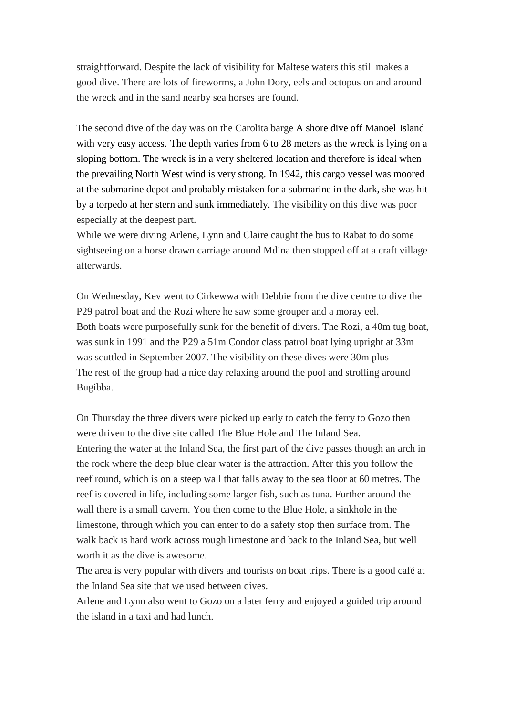straightforward. Despite the lack of visibility for Maltese waters this still makes a good dive. There are lots of fireworms, a John Dory, eels and octopus on and around the wreck and in the sand nearby sea horses are found.

The second dive of the day was on the Carolita barge A shore dive off Manoel Island with very easy access. The depth varies from 6 to 28 meters as the wreck is lying on a sloping bottom. The wreck is in a very sheltered location and therefore is ideal when the prevailing North West wind is very strong. In 1942, this cargo vessel was moored at the submarine depot and probably mistaken for a submarine in the dark, she was hit by a torpedo at her stern and sunk immediately. The visibility on this dive was poor especially at the deepest part.

While we were diving Arlene, Lynn and Claire caught the bus to Rabat to do some sightseeing on a horse drawn carriage around Mdina then stopped off at a craft village afterwards.

On Wednesday, Kev went to Cirkewwa with Debbie from the dive centre to dive the P29 patrol boat and the Rozi where he saw some grouper and a moray eel. Both boats were purposefully sunk for the benefit of divers. The Rozi, a 40m tug boat, was sunk in 1991 and the P29 a 51m Condor class patrol boat lying upright at 33m was scuttled in September 2007. The visibility on these dives were 30m plus The rest of the group had a nice day relaxing around the pool and strolling around Bugibba.

On Thursday the three divers were picked up early to catch the ferry to Gozo then were driven to the dive site called The Blue Hole and The Inland Sea. Entering the water at the Inland Sea, the first part of the dive passes though an arch in the rock where the deep blue clear water is the attraction. After this you follow the reef round, which is on a steep wall that falls away to the sea floor at 60 metres. The reef is covered in life, including some larger fish, such as tuna. Further around the wall there is a small cavern. You then come to the Blue Hole, a sinkhole in the limestone, through which you can enter to do a safety stop then surface from. The walk back is hard work across rough limestone and back to the Inland Sea, but well worth it as the dive is awesome.

The area is very popular with divers and tourists on boat trips. There is a good café at the Inland Sea site that we used between dives.

Arlene and Lynn also went to Gozo on a later ferry and enjoyed a guided trip around the island in a taxi and had lunch.